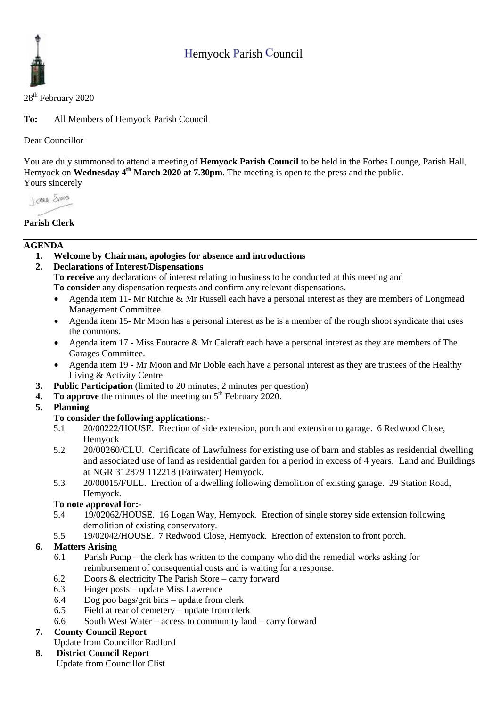# Hemyock Parish Council



#### 28<sup>th</sup> February 2020

**To:** All Members of Hemyock Parish Council

### Dear Councillor

You are duly summoned to attend a meeting of **Hemyock Parish Council** to be held in the Forbes Lounge, Parish Hall, Hemyock on **Wednesday 4<sup>th</sup> March 2020 at 7.30pm**. The meeting is open to the press and the public. Yours sincerely

Jame Sans

### **Parish Clerk**

#### **AGENDA**

**1. Welcome by Chairman, apologies for absence and introductions**

### **2. Declarations of Interest/Dispensations**

**To receive** any declarations of interest relating to business to be conducted at this meeting and **To consider** any dispensation requests and confirm any relevant dispensations.

- Agenda item 11- Mr Ritchie & Mr Russell each have a personal interest as they are members of Longmead Management Committee.
- Agenda item 15- Mr Moon has a personal interest as he is a member of the rough shoot syndicate that uses the commons.
- Agenda item 17 Miss Fouracre & Mr Calcraft each have a personal interest as they are members of The Garages Committee.
- Agenda item 19 Mr Moon and Mr Doble each have a personal interest as they are trustees of the Healthy Living & Activity Centre
- **3. Public Participation** (limited to 20 minutes, 2 minutes per question)
- **4.** To approve the minutes of the meeting on 5<sup>th</sup> February 2020.

### **5. Planning**

#### **To consider the following applications:-**

- 5.1 20/00222/HOUSE. Erection of side extension, porch and extension to garage. 6 Redwood Close, Hemyock
- 5.2 20/00260/CLU. Certificate of Lawfulness for existing use of barn and stables as residential dwelling and associated use of land as residential garden for a period in excess of 4 years. Land and Buildings at NGR 312879 112218 (Fairwater) Hemyock.
- 5.3 20/00015/FULL. Erection of a dwelling following demolition of existing garage. 29 Station Road, Hemyock.

### **To note approval for:-**

- 5.4 19/02062/HOUSE. 16 Logan Way, Hemyock. Erection of single storey side extension following demolition of existing conservatory.
- 5.5 19/02042/HOUSE. 7 Redwood Close, Hemyock. Erection of extension to front porch.

### **6. Matters Arising**

- 6.1 Parish Pump the clerk has written to the company who did the remedial works asking for reimbursement of consequential costs and is waiting for a response.
- 6.2 Doors & electricity The Parish Store carry forward
- 6.3 Finger posts update Miss Lawrence
- 6.4 Dog poo bags/grit bins update from clerk
- 6.5 Field at rear of cemetery update from clerk
- 6.6 South West Water access to community land carry forward

### **7. County Council Report**

Update from Councillor Radford

# **8. District Council Report**

Update from Councillor Clist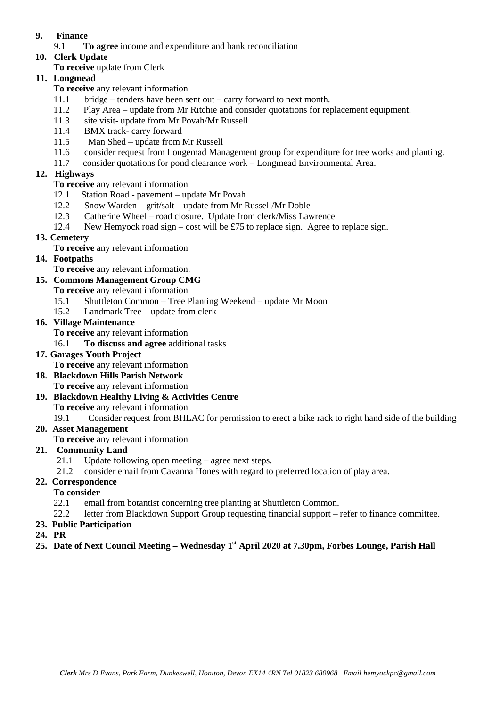### **9. Finance**

- 9.1 **To agree** income and expenditure and bank reconciliation
- **10. Clerk Update** 
	- **To receive** update from Clerk

# **11. Longmead**

- **To receive** any relevant information
- 11.1 bridge tenders have been sent out carry forward to next month.
- 11.2 Play Area update from Mr Ritchie and consider quotations for replacement equipment.
- 11.3 site visit- update from Mr Povah/Mr Russell
- 11.4 BMX track- carry forward
- 11.5 Man Shed update from Mr Russell
- 11.6 consider request from Longemad Management group for expenditure for tree works and planting.
- 11.7 consider quotations for pond clearance work Longmead Environmental Area.

### **12. Highways**

- **To receive** any relevant information
- 12.1 Station Road pavement update Mr Povah
- 12.2 Snow Warden grit/salt update from Mr Russell/Mr Doble
- 12.3 Catherine Wheel road closure. Update from clerk/Miss Lawrence
- 12.4 New Hemyock road sign cost will be £75 to replace sign. Agree to replace sign.

### **13. Cemetery**

- **To receive** any relevant information
- **14. Footpaths**
	- **To receive** any relevant information.

### **15. Commons Management Group CMG**

- **To receive** any relevant information
- 15.1 Shuttleton Common Tree Planting Weekend update Mr Moon
- 15.2 Landmark Tree update from clerk

### **16. Village Maintenance**

- **To receive** any relevant information
- 16.1 **To discuss and agree** additional tasks

### **17. Garages Youth Project**

- **To receive** any relevant information
- **18. Blackdown Hills Parish Network**
	- **To receive** any relevant information
- **19. Blackdown Healthy Living & Activities Centre To receive** any relevant information

19.1 Consider request from BHLAC for permission to erect a bike rack to right hand side of the building

### **20. Asset Management**

**To receive** any relevant information

### **21. Community Land**

- 21.1 Update following open meeting agree next steps.
- 21.2 consider email from Cavanna Hones with regard to preferred location of play area.

### **22. Correspondence**

- **To consider**
	- 22.1 email from botantist concerning tree planting at Shuttleton Common.
- 22.2 letter from Blackdown Support Group requesting financial support refer to finance committee.

### **23. Public Participation**

- **24. PR**
- **25. Date of Next Council Meeting – Wednesday 1 st April 2020 at 7.30pm, Forbes Lounge, Parish Hall**